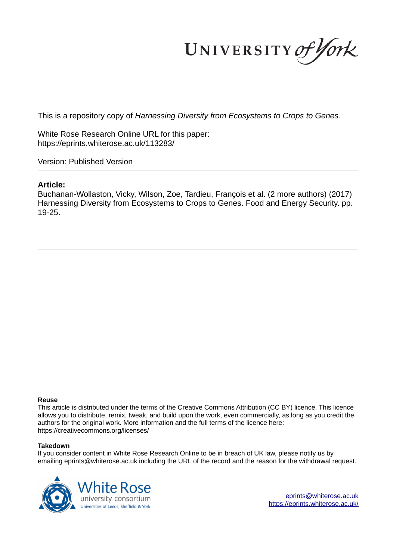UNIVERSITY of York

This is a repository copy of *Harnessing Diversity from Ecosystems to Crops to Genes*.

White Rose Research Online URL for this paper: https://eprints.whiterose.ac.uk/113283/

Version: Published Version

# **Article:**

Buchanan-Wollaston, Vicky, Wilson, Zoe, Tardieu, François et al. (2 more authors) (2017) Harnessing Diversity from Ecosystems to Crops to Genes. Food and Energy Security. pp. 19-25.

### **Reuse**

This article is distributed under the terms of the Creative Commons Attribution (CC BY) licence. This licence allows you to distribute, remix, tweak, and build upon the work, even commercially, as long as you credit the authors for the original work. More information and the full terms of the licence here: https://creativecommons.org/licenses/

### **Takedown**

If you consider content in White Rose Research Online to be in breach of UK law, please notify us by emailing eprints@whiterose.ac.uk including the URL of the record and the reason for the withdrawal request.



eprints@whiterose.ac.uk https://eprints.whiterose.ac.uk/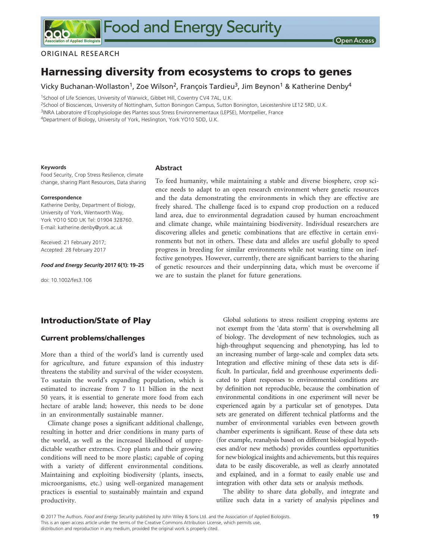of Applied Biologists

# Harnessing diversity from ecosystems to crops to genes

Vicky Buchanan-Wollaston<sup>1</sup>, Zoe Wilson<sup>2</sup>, François Tardieu<sup>3</sup>, Jim Beynon<sup>1</sup> & Katherine Denby<sup>4</sup>

<sup>1</sup>School of Life Sciences, University of Warwick, Gibbet Hill, Coventry CV4 7AL, U.K.

<sup>2</sup>School of Biosciences, University of Nottingham, Sutton Boningon Campus, Sutton Bonington, Leicestershire LE12 5RD, U.K.

3 INRA Laboratoire d'Ecophysiologie des Plantes sous Stress Environnementaux (LEPSE), Montpellier, France

<sup>4</sup>Department of Biology, University of York, Heslington, York YO10 5DD, U.K.

#### **Keywords**

Food Security, Crop Stress Resilience, climate change, sharing Plant Resources, Data sharing

#### **Correspondence**

Katherine Denby, Department of Biology, University of York, Wentworth Way, York YO10 5DD UK Tel: 01904 328760. E-mail: katherine.denby@york.ac.uk

Received: 21 February 2017; Accepted: 28 February 2017

**Food and Energy Security 2017 6(1): 19–25**

doi: 10.1002/fes3.106

### **Abstract**

To feed humanity, while maintaining a stable and diverse biosphere, crop science needs to adapt to an open research environment where genetic resources and the data demonstrating the environments in which they are effective are freely shared. The challenge faced is to expand crop production on a reduced land area, due to environmental degradation caused by human encroachment and climate change, while maintaining biodiversity. Individual researchers are discovering alleles and genetic combinations that are effective in certain environments but not in others. These data and alleles are useful globally to speed progress in breeding for similar environments while not wasting time on ineffective genotypes. However, currently, there are significant barriers to the sharing of genetic resources and their underpinning data, which must be overcome if we are to sustain the planet for future generations.

# Introduction/State of Play

#### Current problems/challenges

More than a third of the world's land is currently used for agriculture, and future expansion of this industry threatens the stability and survival of the wider ecosystem. To sustain the world's expanding population, which is estimated to increase from 7 to 11 billion in the next 50 years, it is essential to generate more food from each hectare of arable land; however, this needs to be done in an environmentally sustainable manner.

Climate change poses a significant additional challenge, resulting in hotter and drier conditions in many parts of the world, as well as the increased likelihood of unpredictable weather extremes. Crop plants and their growing conditions will need to be more plastic; capable of coping with a variety of different environmental conditions. Maintaining and exploiting biodiversity (plants, insects, microorganisms, etc.) using well-organized management practices is essential to sustainably maintain and expand productivity.

Global solutions to stress resilient cropping systems are not exempt from the 'data storm' that is overwhelming all of biology. The development of new technologies, such as high- throughput sequencing and phenotyping, has led to an increasing number of large- scale and complex data sets. Integration and effective mining of these data sets is difficult. In particular, field and greenhouse experiments dedicated to plant responses to environmental conditions are by definition not reproducible, because the combination of environmental conditions in one experiment will never be experienced again by a particular set of genotypes. Data sets are generated on different technical platforms and the number of environmental variables even between growth chamber experiments is significant. Reuse of these data sets (for example, reanalysis based on different biological hypotheses and/or new methods) provides countless opportunities for new biological insights and achievements, but this requires data to be easily discoverable, as well as clearly annotated and explained, and in a format to easily enable use and integration with other data sets or analysis methods.

The ability to share data globally, and integrate and utilize such data in a variety of analysis pipelines and

© 2017 The Authors. *Food and Energy Security* published by John Wiley & Sons Ltd. and the Association of Applied Biologists. This is an open access article under the terms of the Creative Commons Attribution License, which permits use,

distribution and reproduction in any medium, provided the original work is properly cited.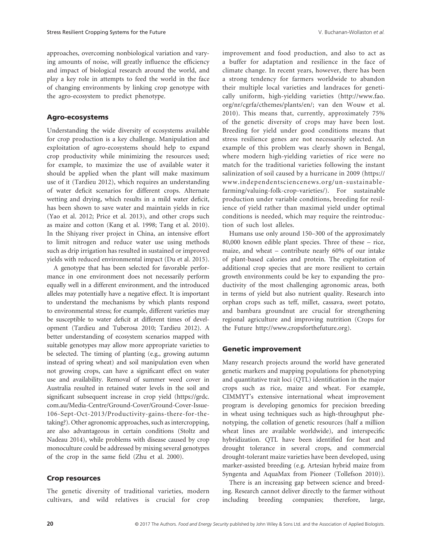approaches, overcoming nonbiological variation and varying amounts of noise, will greatly influence the efficiency and impact of biological research around the world, and play a key role in attempts to feed the world in the face of changing environments by linking crop genotype with the agro-ecosystem to predict phenotype.

### Agro-ecosystems

Understanding the wide diversity of ecosystems available for crop production is a key challenge. Manipulation and exploitation of agro-ecosystems should help to expand crop productivity while minimizing the resources used; for example, to maximize the use of available water it should be applied when the plant will make maximum use of it (Tardieu 2012), which requires an understanding of water deficit scenarios for different crops. Alternate wetting and drying, which results in a mild water deficit, has been shown to save water and maintain yields in rice (Yao et al. 2012; Price et al. 2013), and other crops such as maize and cotton (Kang et al. 1998; Tang et al. 2010). In the Shiyang river project in China, an intensive effort to limit nitrogen and reduce water use using methods such as drip irrigation has resulted in sustained or improved yields with reduced environmental impact (Du et al. 2015).

A genotype that has been selected for favorable performance in one environment does not necessarily perform equally well in a different environment, and the introduced alleles may potentially have a negative effect. It is important to understand the mechanisms by which plants respond to environmental stress; for example, different varieties may be susceptible to water deficit at different times of development (Tardieu and Tuberosa 2010; Tardieu 2012). A better understanding of ecosystem scenarios mapped with suitable genotypes may allow more appropriate varieties to be selected. The timing of planting (e.g., growing autumn instead of spring wheat) and soil manipulation even when not growing crops, can have a significant effect on water use and availability. Removal of summer weed cover in Australia resulted in retained water levels in the soil and significant subsequent increase in crop yield (https://grdc. com.au/Media-Centre/Ground-Cover/Ground-Cover-Issue-106-Sept-Oct-2013/Productivity-gains-there-for-thetaking?). Other agronomic approaches, such as intercropping, are also advantageous in certain conditions (Stoltz and Nadeau 2014), while problems with disease caused by crop monoculture could be addressed by mixing several genotypes of the crop in the same field (Zhu et al. 2000).

### Crop resources

The genetic diversity of traditional varieties, modern cultivars, and wild relatives is crucial for crop improvement and food production, and also to act as a buffer for adaptation and resilience in the face of climate change. In recent years, however, there has been a strong tendency for farmers worldwide to abandon their multiple local varieties and landraces for genetically uniform, high-yielding varieties (http://www.fao. org/nr/cgrfa/cthemes/plants/en/; van den Wouw et al. 2010). This means that, currently, approximately 75% of the genetic diversity of crops may have been lost. Breeding for yield under good conditions means that stress resilience genes are not necessarily selected. An example of this problem was clearly shown in Bengal, where modern high-yielding varieties of rice were no match for the traditional varieties following the instant salinization of soil caused by a hurricane in 2009 (https:// www.independentsciencenews.org/un-sustainablefarming/valuing-folk-crop-varieties/). For sustainable production under variable conditions, breeding for resilience of yield rather than maximal yield under optimal conditions is needed, which may require the reintroduction of such lost alleles.

Humans use only around 150–300 of the approximately 80,000 known edible plant species. Three of these – rice, maize, and wheat – contribute nearly 60% of our intake of plant- based calories and protein. The exploitation of additional crop species that are more resilient to certain growth environments could be key to expanding the productivity of the most challenging agronomic areas, both in terms of yield but also nutrient quality. Research into orphan crops such as teff, millet, cassava, sweet potato, and bambara groundnut are crucial for strengthening regional agriculture and improving nutrition (Crops for the Future http://www.cropsforthefuture.org).

#### Genetic improvement

Many research projects around the world have generated genetic markers and mapping populations for phenotyping and quantitative trait loci (QTL) identification in the major crops such as rice, maize and wheat. For example, CIMMYT's extensive international wheat improvement program is developing genomics for precision breeding in wheat using techniques such as high- throughput phenotyping, the collation of genetic resources (half a million wheat lines are available worldwide), and interspecific hybridization. QTL have been identified for heat and drought tolerance in several crops, and commercial drought- tolerant maize varieties have been developed, using marker- assisted breeding (e.g. Artesian hybrid maize from Syngenta and AquaMax from Pioneer (Tollefson 2010)).

There is an increasing gap between science and breeding. Research cannot deliver directly to the farmer without including breeding companies; therefore, large,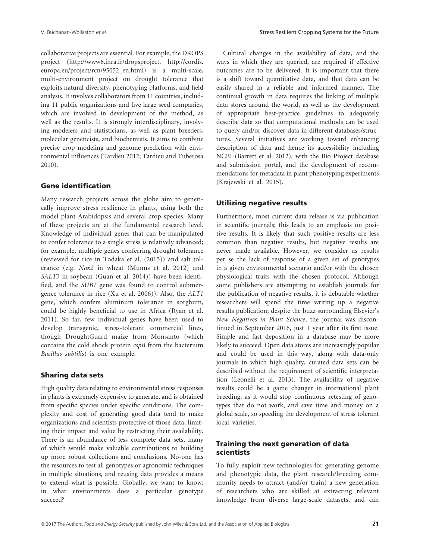collaborative projects are essential. For example, the DROPS project (http://www6.inra.fr/dropsproject, http://cordis. europa.eu/project/rcn/95052\_en.html) is a multi-scale, multi- environment project on drought tolerance that exploits natural diversity, phenotyping platforms, and field analysis. It involves collaborators from 11 countries, including 11 public organizations and five large seed companies, which are involved in development of the method, as well as the results. It is strongly interdisciplinary, involving modelers and statisticians, as well as plant breeders, molecular geneticists, and biochemists. It aims to combine precise crop modeling and genome prediction with environmental influences (Tardieu 2012; Tardieu and Tuberosa 2010).

#### Gene identification

Many research projects across the globe aim to genetically improve stress resilience in plants, using both the model plant Arabidopsis and several crop species. Many of these projects are at the fundamental research level. Knowledge of individual genes that can be manipulated to confer tolerance to a single stress is relatively advanced; for example, multiple genes conferring drought tolerance (reviewed for rice in Todaka et al. (2015)) and salt tolerance (e.g. *Nax2* in wheat (Munns et al. 2012) and *SALT3* in soybean (Guan et al. 2014)) have been identified, and the *SUB1* gene was found to control submergence tolerance in rice (Xu et al. 2006)). Also, the *ALT1* gene, which confers aluminum tolerance in sorghum, could be highly beneficial to use in Africa (Ryan et al. 2011). So far, few individual genes have been used to develop transgenic, stress- tolerant commercial lines, though DroughtGuard maize from Monsanto (which contains the cold shock protein *cspB* from the bacterium *Bacillus subtilis*) is one example.

#### Sharing data sets

High quality data relating to environmental stress responses in plants is extremely expensive to generate, and is obtained from specific species under specific conditions. The complexity and cost of generating good data tend to make organizations and scientists protective of those data, limiting their impact and value by restricting their availability. There is an abundance of less complete data sets, many of which would make valuable contributions to building up more robust collections and conclusions. No- one has the resources to test all genotypes or agronomic techniques in multiple situations, and reusing data provides a means to extend what is possible. Globally, we want to know: in what environments does a particular genotype succeed?

Cultural changes in the availability of data, and the ways in which they are queried, are required if effective outcomes are to be delivered. It is important that there is a shift toward quantitative data, and that data can be easily shared in a reliable and informed manner. The continual growth in data requires the linking of multiple data stores around the world, as well as the development of appropriate best-practice guidelines to adequately describe data so that computational methods can be used to query and/or discover data in different databases/structures. Several initiatives are working toward enhancing description of data and hence its accessibility including NCBI (Barrett et al. 2012), with the Bio Project database and submission portal, and the development of recommendations for metadata in plant phenotyping experiments (Krajewski et al. 2015).

### Utilizing negative results

Furthermore, most current data release is via publication in scientific journals; this leads to an emphasis on positive results. It is likely that such positive results are less common than negative results, but negative results are never made available. However, we consider as results per se the lack of response of a given set of genotypes in a given environmental scenario and/or with the chosen physiological traits with the chosen protocol. Although some publishers are attempting to establish journals for the publication of negative results, it is debatable whether researchers will spend the time writing up a negative results publication; despite the buzz surrounding Elsevier's *New Negatives in Plant Science*, the journal was discontinued in September 2016, just 1 year after its first issue. Simple and fast deposition in a database may be more likely to succeed. Open data stores are increasingly popular and could be used in this way, along with data-only journals in which high quality, curated data sets can be described without the requirement of scientific interpretation (Leonelli et al. 2013). The availability of negative results could be a game changer in international plant breeding, as it would stop continuous retesting of genotypes that do not work, and save time and money on a global scale, so speeding the development of stress tolerant local varieties.

### Training the next generation of data scientists

To fully exploit new technologies for generating genome and phenotypic data, the plant research/breeding community needs to attract (and/or train) a new generation of researchers who are skilled at extracting relevant knowledge from diverse large- scale datasets, and can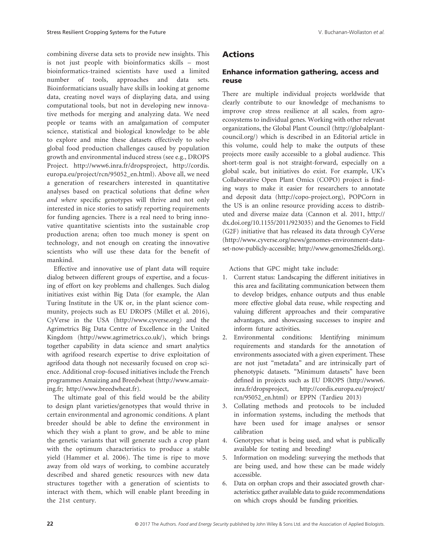combining diverse data sets to provide new insights. This is not just people with bioinformatics skills – most bioinformatics- trained scientists have used a limited number of tools, approaches and data sets. Bioinformaticians usually have skills in looking at genome data, creating novel ways of displaying data, and using computational tools, but not in developing new innovative methods for merging and analyzing data. We need people or teams with an amalgamation of computer science, statistical and biological knowledge to be able to explore and mine these datasets effectively to solve global food production challenges caused by population growth and environmental induced stress (see e.g., DROPS Project. http://www6.inra.fr/dropsproject, http://cordis. europa.eu/project/rcn/95052\_en.html). Above all, we need a generation of researchers interested in quantitative analyses based on practical solutions that define *when and where* specific genotypes will thrive and not only interested in nice stories to satisfy reporting requirements for funding agencies. There is a real need to bring innovative quantitative scientists into the sustainable crop production arena; often too much money is spent on technology, and not enough on creating the innovative scientists who will use these data for the benefit of mankind.

Effective and innovative use of plant data will require dialog between different groups of expertise, and a focusing of effort on key problems and challenges. Such dialog initiatives exist within Big Data (for example, the Alan Turing Institute in the UK or, in the plant science community, projects such as EU DROPS (Millet et al. 2016), CyVerse in the USA (http://www.cyverse.org) and the Agrimetrics Big Data Centre of Excellence in the United Kingdom (http://www.agrimetrics.co.uk/), which brings together capability in data science and smart analytics with agrifood research expertise to drive exploitation of agrifood data though not necessarily focused on crop science. Additional crop- focused initiatives include the French programmes Amaizing and Breedwheat (http://www.amaizing.fr; http://www.breedwheat.fr).

The ultimate goal of this field would be the ability to design plant varieties/genotypes that would thrive in certain environmental and agronomic conditions. A plant breeder should be able to define the environment in which they wish a plant to grow, and be able to mine the genetic variants that will generate such a crop plant with the optimum characteristics to produce a stable yield (Hammer et al. 2006). The time is ripe to move away from old ways of working, to combine accurately described and shared genetic resources with new data structures together with a generation of scientists to interact with them, which will enable plant breeding in the 21st century.

# Actions

### Enhance information gathering, access and reuse

There are multiple individual projects worldwide that clearly contribute to our knowledge of mechanisms to improve crop stress resilience at all scales, from agroecosystems to individual genes. Working with other relevant organizations, the Global Plant Council (http://globalplantcouncil.org/) which is described in an Editorial article in this volume, could help to make the outputs of these projects more easily accessible to a global audience. This short-term goal is not straight-forward, especially on a global scale, but initiatives do exist. For example, UK's Collaborative Open Plant Omics (COPO) project is finding ways to make it easier for researchers to annotate and deposit data (http://copo-project.org), POPCorn in the US is an online resource providing access to distributed and diverse maize data (Cannon et al. 2011, http:// dx.doi.org/10.1155/2011/923035) and the Genomes to Field (G2F) initiative that has released its data through CyVerse (http://www.cyverse.org/news/genomes-environment-dataset-now-publicly-accessible; http://www.genomes2fields.org).

Actions that GPC might take include:

- 1. Current status: Landscaping the different initiatives in this area and facilitating communication between them to develop bridges, enhance outputs and thus enable more effective global data reuse, while respecting and valuing different approaches and their comparative advantages, and showcasing successes to inspire and inform future activities.
- 2. Environmental conditions: Identifying minimum requirements and standards for the annotation of environments associated with a given experiment. These are not just "metadata" and are intrinsically part of phenotypic datasets. "Minimum datasets" have been defined in projects such as EU DROPS (http://www6. inra.fr/dropsproject, http://cordis.europa.eu/project/ rcn/95052\_en.html) or EPPN (Tardieu 2013)
- 3. Collating methods and protocols to be included in information systems, including the methods that have been used for image analyses or sensor calibration
- 4. Genotypes: what is being used, and what is publically available for testing and breeding?
- 5. Information on modeling: surveying the methods that are being used, and how these can be made widely accessible.
- 6. Data on orphan crops and their associated growth characteristics: gather available data to guide recommendations on which crops should be funding priorities.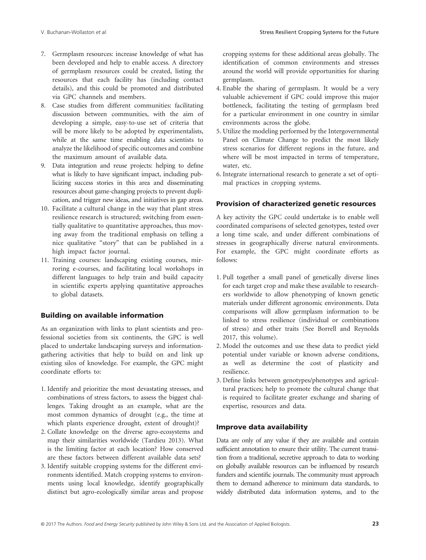- 7. Germplasm resources: increase knowledge of what has been developed and help to enable access. A directory of germplasm resources could be created, listing the resources that each facility has (including contact details), and this could be promoted and distributed via GPC channels and members.
- 8. Case studies from different communities: facilitating discussion between communities, with the aim of developing a simple, easy-to-use set of criteria that will be more likely to be adopted by experimentalists, while at the same time enabling data scientists to analyze the likelihood of specific outcomes and combine the maximum amount of available data.
- 9. Data integration and reuse projects: helping to define what is likely to have significant impact, including publicizing success stories in this area and disseminating resources about game-changing projects to prevent duplication, and trigger new ideas, and initiatives in gap areas.
- 10. Facilitate a cultural change in the way that plant stress resilience research is structured; switching from essentially qualitative to quantitative approaches, thus moving away from the traditional emphasis on telling a nice qualitative "story" that can be published in a high impact factor journal.
- 11. Training courses: landscaping existing courses, mirroring e-courses, and facilitating local workshops in different languages to help train and build capacity in scientific experts applying quantitative approaches to global datasets.

### Building on available information

As an organization with links to plant scientists and professional societies from six continents, the GPC is well placed to undertake landscaping surveys and informationgathering activities that help to build on and link up existing silos of knowledge. For example, the GPC might coordinate efforts to:

- 1. Identify and prioritize the most devastating stresses, and combinations of stress factors, to assess the biggest challenges. Taking drought as an example, what are the most common dynamics of drought (e.g., the time at which plants experience drought, extent of drought)?
- 2. Collate knowledge on the diverse agro-ecosystems and map their similarities worldwide (Tardieu 2013). What is the limiting factor at each location? How conserved are these factors between different available data sets?
- 3. Identify suitable cropping systems for the different environments identified. Match cropping systems to environments using local knowledge, identify geographically distinct but agro-ecologically similar areas and propose

cropping systems for these additional areas globally. The identification of common environments and stresses around the world will provide opportunities for sharing germplasm.

- 4. Enable the sharing of germplasm. It would be a very valuable achievement if GPC could improve this major bottleneck, facilitating the testing of germplasm bred for a particular environment in one country in similar environments across the globe.
- 5. Utilize the modeling performed by the Intergovernmental Panel on Climate Change to predict the most likely stress scenarios for different regions in the future, and where will be most impacted in terms of temperature, water, etc.
- 6. Integrate international research to generate a set of optimal practices in cropping systems.

### Provision of characterized genetic resources

A key activity the GPC could undertake is to enable well coordinated comparisons of selected genotypes, tested over a long time scale, and under different combinations of stresses in geographically diverse natural environments. For example, the GPC might coordinate efforts as follows:

- 1. Pull together a small panel of genetically diverse lines for each target crop and make these available to researchers worldwide to allow phenotyping of known genetic materials under different agronomic environments. Data comparisons will allow germplasm information to be linked to stress resilience (individual or combinations of stress) and other traits (See Borrell and Reynolds 2017, this volume).
- 2. Model the outcomes and use these data to predict yield potential under variable or known adverse conditions, as well as determine the cost of plasticity and resilience.
- 3. Define links between genotypes/phenotypes and agricultural practices; help to promote the cultural change that is required to facilitate greater exchange and sharing of expertise, resources and data.

# Improve data availability

Data are only of any value if they are available and contain sufficient annotation to ensure their utility. The current transition from a traditional, secretive approach to data to working on globally available resources can be influenced by research funders and scientific journals. The community must approach them to demand adherence to minimum data standards, to widely distributed data information systems, and to the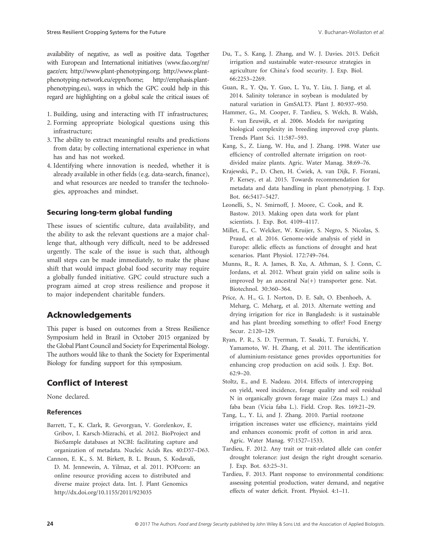availability of negative, as well as positive data. Together with European and International initiatives (www.fao.org/nr/ gaez/en; http://www.plant-phenotyping.org; http://www.plantphenotyping-network.eu/eppn/home; http://emphasis.plantphenotyping.eu), ways in which the GPC could help in this regard are highlighting on a global scale the critical issues of:

- 1. Building, using and interacting with IT infrastructures;
- 2. Forming appropriate biological questions using this infrastructure;
- 3. The ability to extract meaningful results and predictions from data; by collecting international experience in what has and has not worked.
- 4. Identifying where innovation is needed, whether it is already available in other fields (e.g. data-search, finance), and what resources are needed to transfer the technologies, approaches and mindset.

### Securing long- term global funding

These issues of scientific culture, data availability, and the ability to ask the relevant questions are a major challenge that, although very difficult, need to be addressed urgently. The scale of the issue is such that, although small steps can be made immediately, to make the phase shift that would impact global food security may require a globally funded initiative. GPC could structure such a program aimed at crop stress resilience and propose it to major independent charitable funders.

# Acknowledgements

This paper is based on outcomes from a Stress Resilience Symposium held in Brazil in October 2015 organized by the Global Plant Council and Society for Experimental Biology. The authors would like to thank the Society for Experimental Biology for funding support for this symposium.

# Conflict of Interest

None declared.

#### **References**

- Barrett, T., K. Clark, R. Gevorgyan, V. Gorelenkov, E. Gribov, I. Karsch-Mizrachi, et al. 2012. BioProject and BioSample databases at NCBI: facilitating capture and organization of metadata. Nucleic Acids Res. 40:D57–D63.
- Cannon, E. K., S. M. Birkett, B. L. Braun, S. Kodavali, D. M. Jennewein, A. Yilmaz, et al. 2011. POPcorn: an online resource providing access to distributed and diverse maize project data. Int. J. Plant Genomics http://dx.doi.org/10.1155/2011/923035
- Du, T., S. Kang, J. Zhang, and W. J. Davies. 2015. Deficit irrigation and sustainable water- resource strategies in agriculture for China's food security. J. Exp. Biol. 66:2253–2269.
- Guan, R., Y. Qu, Y. Guo, L. Yu, Y. Liu, J. Jiang, et al. 2014. Salinity tolerance in soybean is modulated by natural variation in GmSALT3. Plant J. 80:937–950.
- Hammer, G., M. Cooper, F. Tardieu, S. Welch, B. Walsh, F. van Eeuwijk, et al. 2006. Models for navigating biological complexity in breeding improved crop plants. Trends Plant Sci. 11:587–593.
- Kang, S., Z. Liang, W. Hu, and J. Zhang. 1998. Water use efficiency of controlled alternate irrigation on rootdivided maize plants. Agric. Water Manag. 38:69–76.
- Krajewski, P., D. Chen, H. C´wiek, A. van Dijk, F. Fiorani, P. Kersey, et al. 2015. Towards recommendation for metadata and data handling in plant phenotyping. J. Exp. Bot. 66:5417–5427.
- Leonelli, S., N. Smirnoff, J. Moore, C. Cook, and R. Bastow. 2013. Making open data work for plant scientists. J. Exp. Bot. 4109–4117.
- Millet, E., C. Welcker, W. Kruijer, S. Negro, S. Nicolas, S. Praud, et al. 2016. Genome- wide analysis of yield in Europe: allelic effects as functions of drought and heat scenarios. Plant Physiol. 172:749–764.
- Munns, R., R. A. James, B. Xu, A. Athman, S. J. Conn, C. Jordans, et al. 2012. Wheat grain yield on saline soils is improved by an ancestral Na(+) transporter gene. Nat. Biotechnol. 30:360–364.
- Price, A. H., G. J. Norton, D. E. Salt, O. Ebenhoeh, A. Meharg, C. Meharg, et al. 2013. Alternate wetting and drying irrigation for rice in Bangladesh: is it sustainable and has plant breeding something to offer? Food Energy Secur. 2:120–129.
- Ryan, P. R., S. D. Tyerman, T. Sasaki, T. Furuichi, Y. Yamamoto, W. H. Zhang, et al. 2011. The identification of aluminium- resistance genes provides opportunities for enhancing crop production on acid soils. J. Exp. Bot.  $62:9 - 20.$
- Stoltz, E., and E. Nadeau. 2014. Effects of intercropping on yield, weed incidence, forage quality and soil residual N in organically grown forage maize (Zea mays L.) and faba bean (Vicia faba L.). Field. Crop. Res. 169:21–29.
- Tang, L., Y. Li, and J. Zhang. 2010. Partial rootzone irrigation increases water use efficiency, maintains yield and enhances economic profit of cotton in arid area. Agric. Water Manag. 97:1527–1533.
- Tardieu, F. 2012. Any trait or trait- related allele can confer drought tolerance: just design the right drought scenario. J. Exp. Bot. 63:25–31.
- Tardieu, F. 2013. Plant response to environmental conditions: assessing potential production, water demand, and negative effects of water deficit. Front. Physiol. 4:1–11.